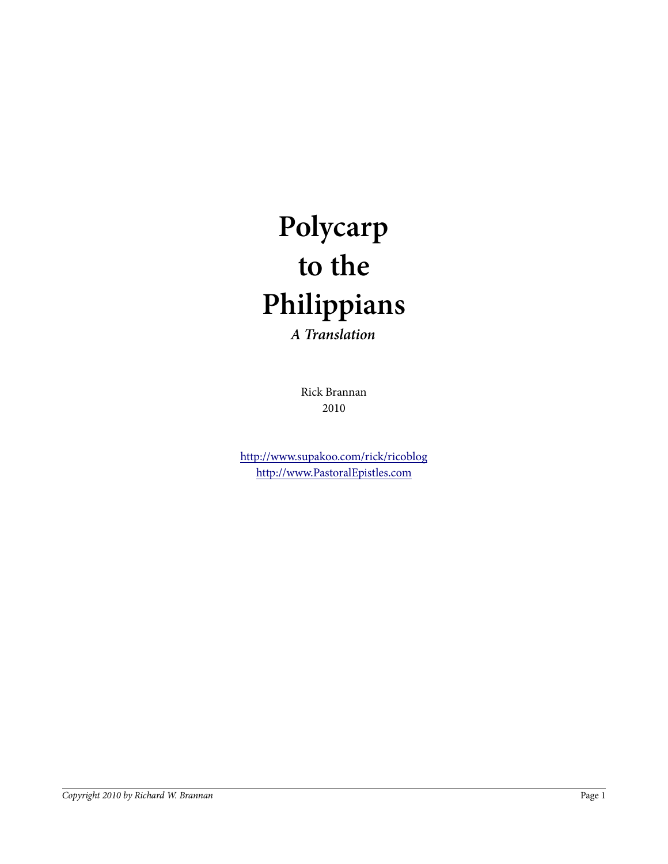# **Polycarp to the Philippians A Translation**

Rick Brannan 2010

http://www.supakoo.com/rick/ricoblog http://www.PastoralEpistles.com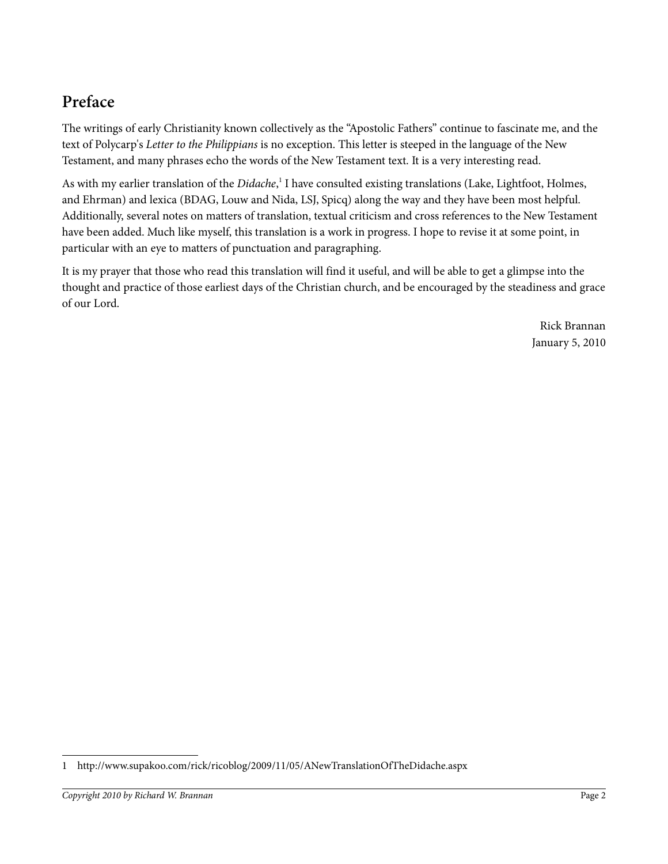## **Preface**

The writings of early Christianity known collectively as the "Apostolic Fathers" continue to fascinate me, and the text of Polycarp's *Letter to the Philippians* is no exception. This letter is steeped in the language of the New Testament, and many phrases echo the words of the New Testament text. It is a very interesting read.

As with my earlier translation of the *Didache*,<sup>1</sup> I have consulted existing translations (Lake, Lightfoot, Holmes, and Ehrman) and lexica (BDAG, Louw and Nida, LSJ, Spicq) along the way and they have been most helpful. Additionally, several notes on matters of translation, textual criticism and cross references to the New Testament have been added. Much like myself, this translation is a work in progress. I hope to revise it at some point, in particular with an eye to matters of punctuation and paragraphing.

It is my prayer that those who read this translation will find it useful, and will be able to get a glimpse into the thought and practice of those earliest days of the Christian church, and be encouraged by the steadiness and grace of our Lord.

> Rick Brannan January 5, 2010

<sup>1</sup> http://www.supakoo.com/rick/ricoblog/2009/11/05/ANewTranslationOfTheDidache.aspx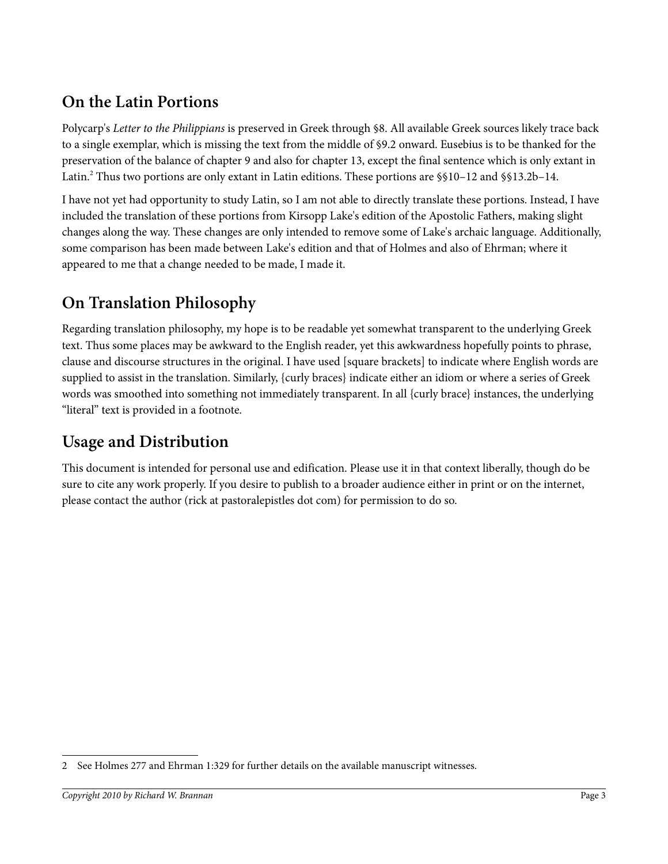## **On the Latin Portions**

Polycarp's *Letter to the Philippians* is preserved in Greek through §8. All available Greek sources likely trace back to a single exemplar, which is missing the text from the middle of §9.2 onward. Eusebius is to be thanked for the preservation of the balance of chapter 9 and also for chapter 13, except the final sentence which is only extant in Latin.<sup>2</sup> Thus two portions are only extant in Latin editions. These portions are §§10–12 and §§13.2b–14.

I have not yet had opportunity to study Latin, so I am not able to directly translate these portions. Instead, I have included the translation of these portions from Kirsopp Lake's edition of the Apostolic Fathers, making slight changes along the way. These changes are only intended to remove some of Lake's archaic language. Additionally, some comparison has been made between Lake's edition and that of Holmes and also of Ehrman; where it appeared to me that a change needed to be made, I made it.

## **On Translation Philosophy**

Regarding translation philosophy, my hope is to be readable yet somewhat transparent to the underlying Greek text. Thus some places may be awkward to the English reader, yet this awkwardness hopefully points to phrase, clause and discourse structures in the original. I have used [square brackets] to indicate where English words are supplied to assist in the translation. Similarly, {curly braces} indicate either an idiom or where a series of Greek words was smoothed into something not immediately transparent. In all {curly brace} instances, the underlying "literal" text is provided in a footnote.

## **Usage and Distribution**

This document is intended for personal use and edification. Please use it in that context liberally, though do be sure to cite any work properly. If you desire to publish to a broader audience either in print or on the internet, please contact the author (rick at pastoralepistles dot com) for permission to do so.

<sup>2</sup> See Holmes 277 and Ehrman 1:329 for further details on the available manuscript witnesses.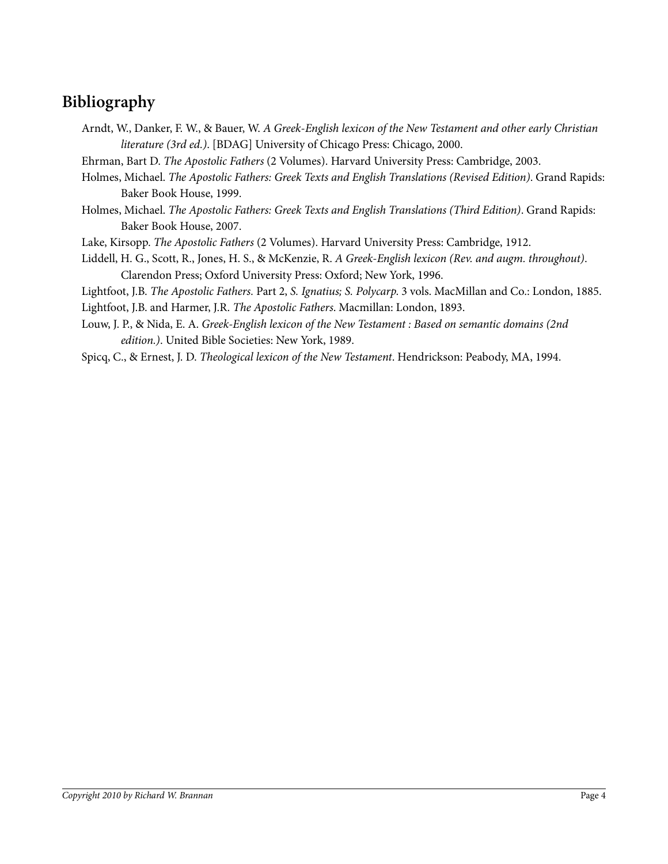## **Bibliography**

Arndt, W., Danker, F. W., & Bauer, W. *A Greek-English lexicon of the New Testament and other early Christian literature (3rd ed.)*. [BDAG] University of Chicago Press: Chicago, 2000.

Ehrman, Bart D. *The Apostolic Fathers* (2 Volumes). Harvard University Press: Cambridge, 2003.

- Holmes, Michael. *The Apostolic Fathers: Greek Texts and English Translations (Revised Edition)*. Grand Rapids: Baker Book House, 1999.
- Holmes, Michael. *The Apostolic Fathers: Greek Texts and English Translations (Third Edition)*. Grand Rapids: Baker Book House, 2007.

Lake, Kirsopp. *The Apostolic Fathers* (2 Volumes). Harvard University Press: Cambridge, 1912.

Liddell, H. G., Scott, R., Jones, H. S., & McKenzie, R. *A Greek-English lexicon (Rev. and augm. throughout)*. Clarendon Press; Oxford University Press: Oxford; New York, 1996.

Lightfoot, J.B. *The Apostolic Fathers.* Part 2, *S. Ignatius; S. Polycarp*. 3 vols. MacMillan and Co.: London, 1885.

Lightfoot, J.B. and Harmer, J.R. *The Apostolic Fathers*. Macmillan: London, 1893.

- Louw, J. P., & Nida, E. A. *Greek-English lexicon of the New Testament : Based on semantic domains (2nd edition.)*. United Bible Societies: New York, 1989.
- Spicq, C., & Ernest, J. D. *Theological lexicon of the New Testament*. Hendrickson: Peabody, MA, 1994.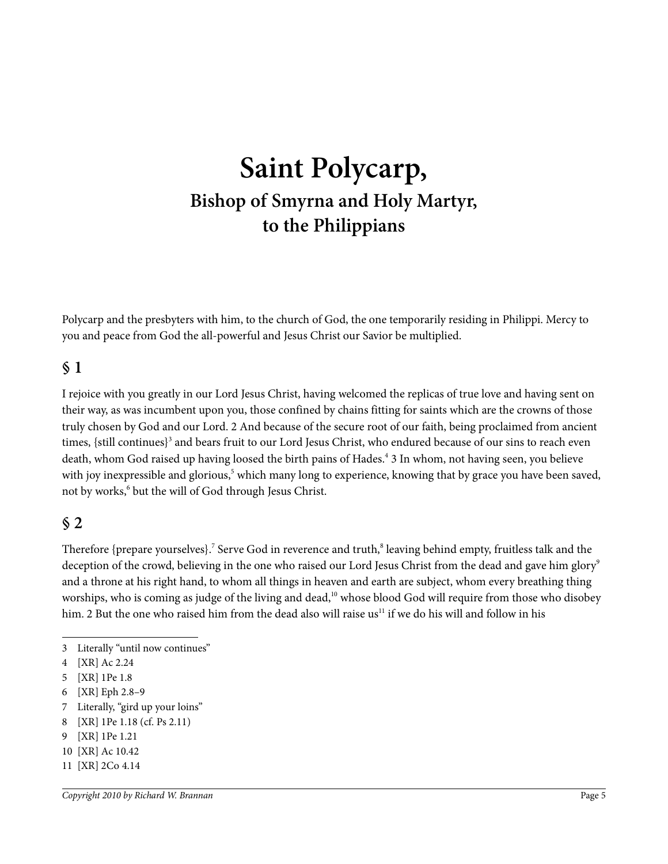## **Saint Polycarp, Bishop of Smyrna and Holy Martyr, to the Philippians**

Polycarp and the presbyters with him, to the church of God, the one temporarily residing in Philippi. Mercy to you and peace from God the all-powerful and Jesus Christ our Savior be multiplied.

#### **§ 1**

I rejoice with you greatly in our Lord Jesus Christ, having welcomed the replicas of true love and having sent on their way, as was incumbent upon you, those confined by chains fitting for saints which are the crowns of those truly chosen by God and our Lord. 2 And because of the secure root of our faith, being proclaimed from ancient times, {still continues}<sup>3</sup> and bears fruit to our Lord Jesus Christ, who endured because of our sins to reach even death, whom God raised up having loosed the birth pains of Hades.<sup>4</sup> 3 In whom, not having seen, you believe with joy inexpressible and glorious,<sup>5</sup> which many long to experience, knowing that by grace you have been saved, not by works,<sup>6</sup> but the will of God through Jesus Christ.

#### **§ 2**

Therefore {prepare yourselves}. $^7$  Serve God in reverence and truth, $^8$  leaving behind empty, fruitless talk and the deception of the crowd, believing in the one who raised our Lord Jesus Christ from the dead and gave him glory<sup>9</sup> and a throne at his right hand, to whom all things in heaven and earth are subject, whom every breathing thing worships, who is coming as judge of the living and dead,<sup>10</sup> whose blood God will require from those who disobey him. 2 But the one who raised him from the dead also will raise us<sup>11</sup> if we do his will and follow in his

- 7 Literally, "gird up your loins"
- 8 [XR] 1Pe 1.18 (cf. Ps 2.11)
- 9 [XR] 1Pe 1.21
- 10 [XR] Ac 10.42
- 11 [XR] 2Co 4.14

<sup>3</sup> Literally "until now continues"

<sup>4 [</sup>XR] Ac 2.24

<sup>5 [</sup>XR] 1Pe 1.8

<sup>6 [</sup>XR] Eph 2.8–9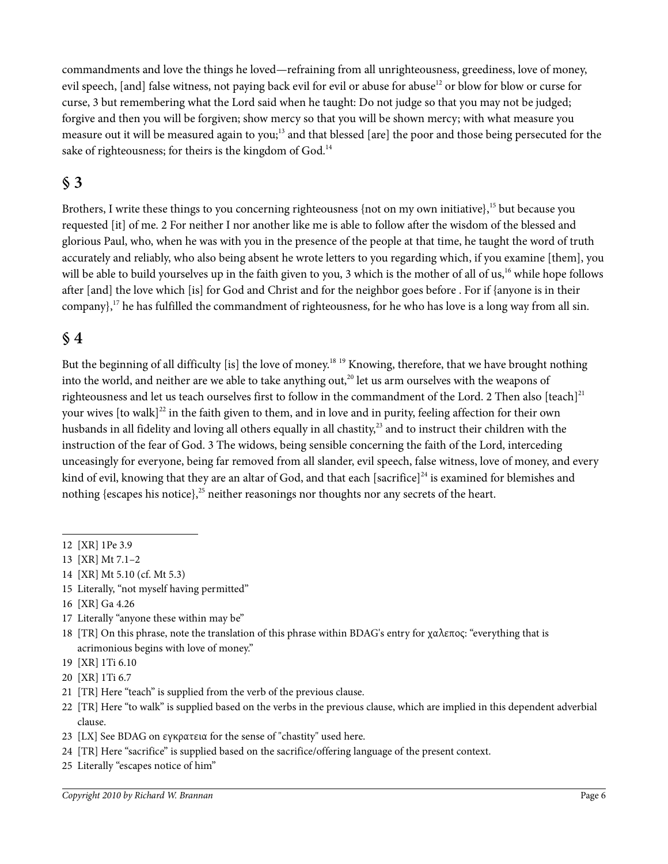commandments and love the things he loved—refraining from all unrighteousness, greediness, love of money, evil speech, [and] false witness, not paying back evil for evil or abuse for abuse<sup>12</sup> or blow for blow or curse for curse, 3 but remembering what the Lord said when he taught: Do not judge so that you may not be judged; forgive and then you will be forgiven; show mercy so that you will be shown mercy; with what measure you measure out it will be measured again to you;<sup>13</sup> and that blessed [are] the poor and those being persecuted for the sake of righteousness; for theirs is the kingdom of God.<sup>14</sup>

#### **§ 3**

Brothers, I write these things to you concerning righteousness {not on my own initiative},<sup>15</sup> but because you requested [it] of me. 2 For neither I nor another like me is able to follow after the wisdom of the blessed and glorious Paul, who, when he was with you in the presence of the people at that time, he taught the word of truth accurately and reliably, who also being absent he wrote letters to you regarding which, if you examine [them], you will be able to build yourselves up in the faith given to you, 3 which is the mother of all of us,<sup>16</sup> while hope follows after [and] the love which [is] for God and Christ and for the neighbor goes before . For if {anyone is in their company},<sup>17</sup> he has fulfilled the commandment of righteousness, for he who has love is a long way from all sin.

#### **§ 4**

But the beginning of all difficulty [is] the love of money.<sup>18 19</sup> Knowing, therefore, that we have brought nothing into the world, and neither are we able to take anything out, $^{20}$  let us arm ourselves with the weapons of righteousness and let us teach ourselves first to follow in the commandment of the Lord. 2 Then also [teach]<sup>21</sup> your wives  $[$  to walk $]$ <sup>22</sup> in the faith given to them, and in love and in purity, feeling affection for their own husbands in all fidelity and loving all others equally in all chastity,<sup>23</sup> and to instruct their children with the instruction of the fear of God. 3 The widows, being sensible concerning the faith of the Lord, interceding unceasingly for everyone, being far removed from all slander, evil speech, false witness, love of money, and every kind of evil, knowing that they are an altar of God, and that each [sacrifice] $^{24}$  is examined for blemishes and nothing {escapes his notice},<sup>25</sup> neither reasonings nor thoughts nor any secrets of the heart.

- 15 Literally, "not myself having permitted"
- 16 [XR] Ga 4.26
- 17 Literally "anyone these within may be"
- 18 [TR] On this phrase, note the translation of this phrase within BDAG's entry for χαλεπος: "everything that is acrimonious begins with love of money."
- 19 [XR] 1Ti 6.10
- 20 [XR] 1Ti 6.7
- 21 [TR] Here "teach" is supplied from the verb of the previous clause.
- 22 [TR] Here "to walk" is supplied based on the verbs in the previous clause, which are implied in this dependent adverbial clause.
- 23 [LX] See BDAG on εγκρατεια for the sense of "chastity" used here.
- 24 [TR] Here "sacrifice" is supplied based on the sacrifice/offering language of the present context.
- 25 Literally "escapes notice of him"

<sup>12 [</sup>XR] 1Pe 3.9

<sup>13 [</sup>XR] Mt 7.1–2

<sup>14 [</sup>XR] Mt 5.10 (cf. Mt 5.3)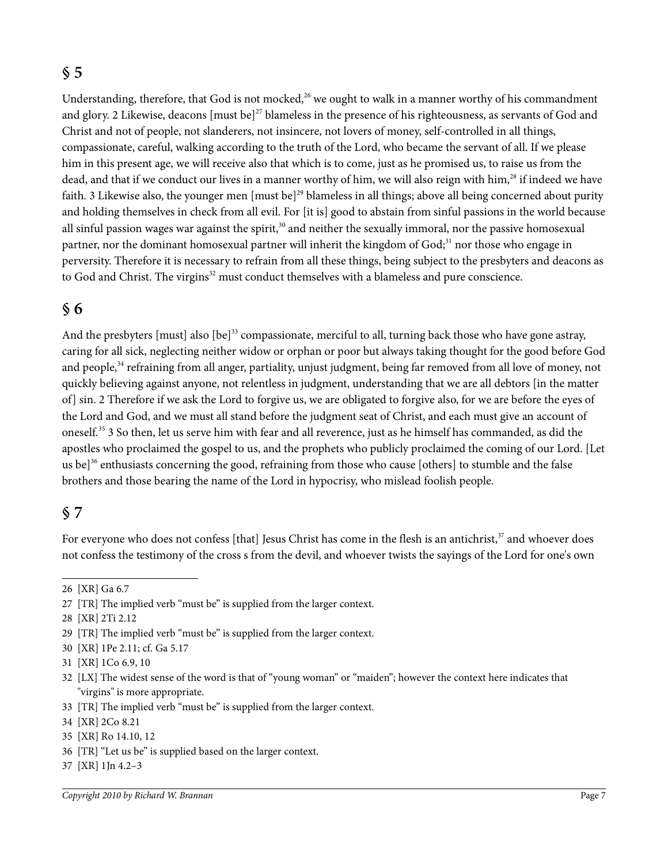#### **§ 5**

Understanding, therefore, that God is not mocked,<sup>26</sup> we ought to walk in a manner worthy of his commandment and glory. 2 Likewise, deacons  ${\rm [must be]}^{27}$  blameless in the presence of his righteousness, as servants of God and Christ and not of people, not slanderers, not insincere, not lovers of money, self-controlled in all things, compassionate, careful, walking according to the truth of the Lord, who became the servant of all. If we please him in this present age, we will receive also that which is to come, just as he promised us, to raise us from the dead, and that if we conduct our lives in a manner worthy of him, we will also reign with him,<sup>28</sup> if indeed we have faith. 3 Likewise also, the younger men [must be]<sup>29</sup> blameless in all things; above all being concerned about purity and holding themselves in check from all evil. For [it is] good to abstain from sinful passions in the world because all sinful passion wages war against the spirit,<sup>30</sup> and neither the sexually immoral, nor the passive homosexual partner, nor the dominant homosexual partner will inherit the kingdom of God;<sup>31</sup> nor those who engage in perversity. Therefore it is necessary to refrain from all these things, being subject to the presbyters and deacons as to God and Christ. The virgins<sup>32</sup> must conduct themselves with a blameless and pure conscience.

#### **§ 6**

And the presbyters [must] also [be]<sup>33</sup> compassionate, merciful to all, turning back those who have gone astray, caring for all sick, neglecting neither widow or orphan or poor but always taking thought for the good before God and people,<sup>34</sup> refraining from all anger, partiality, unjust judgment, being far removed from all love of money, not quickly believing against anyone, not relentless in judgment, understanding that we are all debtors [in the matter of] sin. 2 Therefore if we ask the Lord to forgive us, we are obligated to forgive also, for we are before the eyes of the Lord and God, and we must all stand before the judgment seat of Christ, and each must give an account of oneself.<sup>35</sup> 3 So then, let us serve him with fear and all reverence, just as he himself has commanded, as did the apostles who proclaimed the gospel to us, and the prophets who publicly proclaimed the coming of our Lord. [Let us be]<sup>36</sup> enthusiasts concerning the good, refraining from those who cause [others] to stumble and the false brothers and those bearing the name of the Lord in hypocrisy, who mislead foolish people.

#### **§ 7**

For everyone who does not confess [that] Jesus Christ has come in the flesh is an antichrist,<sup>37</sup> and whoever does not confess the testimony of the cross s from the devil, and whoever twists the sayings of the Lord for one's own

37 [XR] 1Jn 4.2–3

<sup>26 [</sup>XR] Ga 6.7

<sup>27 [</sup>TR] The implied verb "must be" is supplied from the larger context.

<sup>28 [</sup>XR] 2Ti 2.12

<sup>29 [</sup>TR] The implied verb "must be" is supplied from the larger context.

<sup>30 [</sup>XR] 1Pe 2.11; cf. Ga 5.17

<sup>31 [</sup>XR] 1Co 6.9, 10

<sup>32 [</sup>LX] The widest sense of the word is that of "young woman" or "maiden"; however the context here indicates that "virgins" is more appropriate.

<sup>33 [</sup>TR] The implied verb "must be" is supplied from the larger context.

<sup>34 [</sup>XR] 2Co 8.21

<sup>35 [</sup>XR] Ro 14.10, 12

<sup>36 [</sup>TR] "Let us be" is supplied based on the larger context.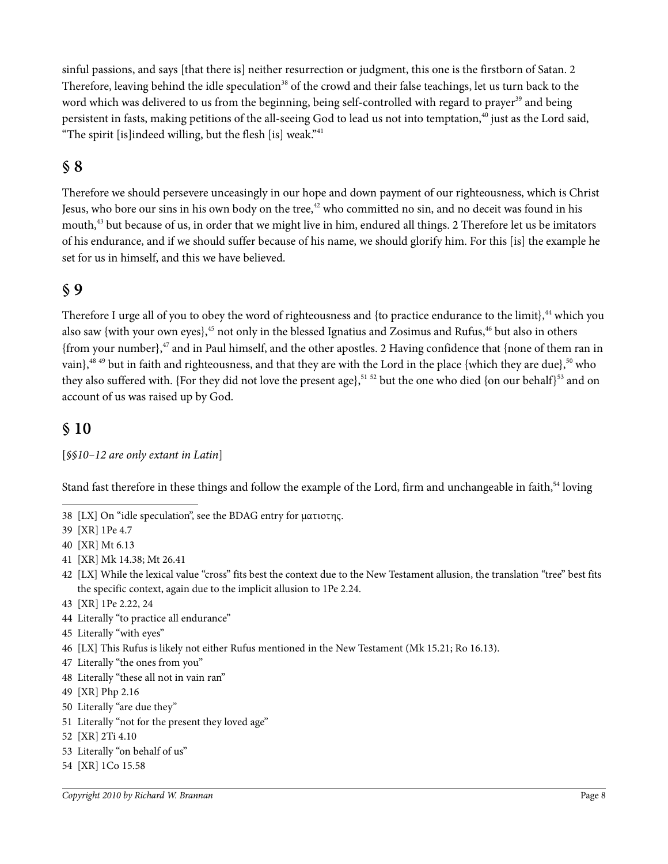sinful passions, and says [that there is] neither resurrection or judgment, this one is the firstborn of Satan. 2 Therefore, leaving behind the idle speculation<sup>38</sup> of the crowd and their false teachings, let us turn back to the word which was delivered to us from the beginning, being self-controlled with regard to prayer<sup>39</sup> and being persistent in fasts, making petitions of the all-seeing God to lead us not into temptation,<sup>40</sup> just as the Lord said, "The spirit [is]indeed willing, but the flesh [is] weak." $41$ 

#### **§ 8**

Therefore we should persevere unceasingly in our hope and down payment of our righteousness, which is Christ Jesus, who bore our sins in his own body on the tree,<sup>42</sup> who committed no sin, and no deceit was found in his mouth,<sup>43</sup> but because of us, in order that we might live in him, endured all things. 2 Therefore let us be imitators of his endurance, and if we should suffer because of his name, we should glorify him. For this [is] the example he set for us in himself, and this we have believed.

#### **§ 9**

Therefore I urge all of you to obey the word of righteousness and {to practice endurance to the limit}, $^{44}$  which you also saw {with your own eyes},<sup>45</sup> not only in the blessed Ignatius and Zosimus and Rufus,<sup>46</sup> but also in others {from your number}, $47$  and in Paul himself, and the other apostles. 2 Having confidence that {none of them ran in vain},<sup>48 49</sup> but in faith and righteousness, and that they are with the Lord in the place {which they are due},<sup>50</sup> who they also suffered with. {For they did not love the present age},<sup>51 52</sup> but the one who died {on our behalf}<sup>53</sup> and on account of us was raised up by God.

#### **§ 10**

[*§§10–12 are only extant in Latin*]

Stand fast therefore in these things and follow the example of the Lord, firm and unchangeable in faith,<sup>54</sup> loving

38 [LX] On "idle speculation", see the BDAG entry for ματιοτης.

39 [XR] 1Pe 4.7

- 40 [XR] Mt 6.13
- 41 [XR] Mk 14.38; Mt 26.41
- 42 [LX] While the lexical value "cross" fits best the context due to the New Testament allusion, the translation "tree" best fits the specific context, again due to the implicit allusion to 1Pe 2.24.
- 43 [XR] 1Pe 2.22, 24
- 44 Literally "to practice all endurance"
- 45 Literally "with eyes"
- 46 [LX] This Rufus is likely not either Rufus mentioned in the New Testament (Mk 15.21; Ro 16.13).
- 47 Literally "the ones from you"
- 48 Literally "these all not in vain ran"
- 49 [XR] Php 2.16
- 50 Literally "are due they"
- 51 Literally "not for the present they loved age"
- 52 [XR] 2Ti 4.10
- 53 Literally "on behalf of us"
- 54 [XR] 1Co 15.58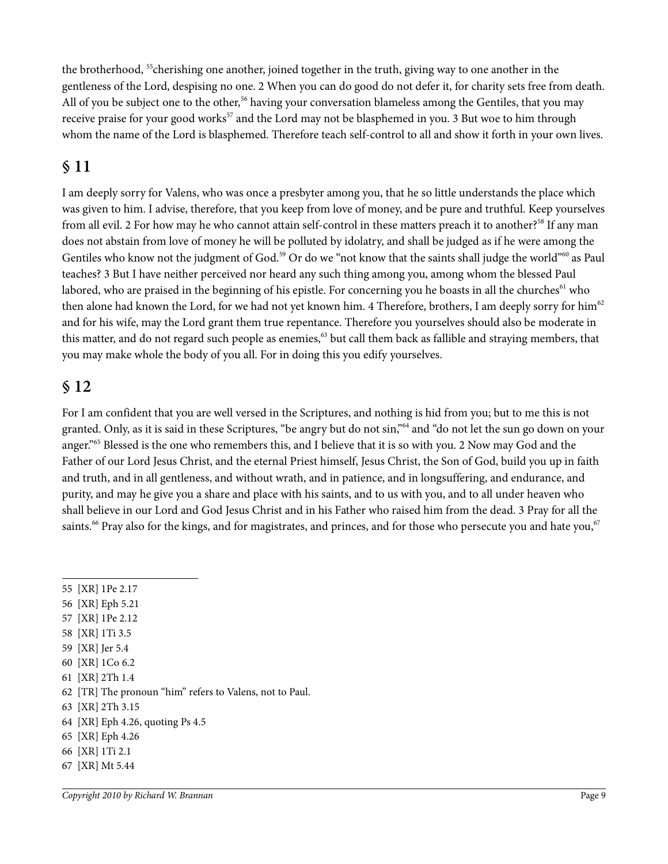the brotherhood, <sup>55</sup>cherishing one another, joined together in the truth, giving way to one another in the gentleness of the Lord, despising no one. 2 When you can do good do not defer it, for charity sets free from death. All of you be subject one to the other,<sup>56</sup> having your conversation blameless among the Gentiles, that you may receive praise for your good works<sup>57</sup> and the Lord may not be blasphemed in you. 3 But woe to him through whom the name of the Lord is blasphemed. Therefore teach self-control to all and show it forth in your own lives.

## **§ 11**

I am deeply sorry for Valens, who was once a presbyter among you, that he so little understands the place which was given to him. I advise, therefore, that you keep from love of money, and be pure and truthful. Keep yourselves from all evil. 2 For how may he who cannot attain self-control in these matters preach it to another?<sup>58</sup> If any man does not abstain from love of money he will be polluted by idolatry, and shall be judged as if he were among the Gentiles who know not the judgment of God.<sup>59</sup> Or do we "not know that the saints shall judge the world"<sup>60</sup> as Paul teaches? 3 But I have neither perceived nor heard any such thing among you, among whom the blessed Paul labored, who are praised in the beginning of his epistle. For concerning you he boasts in all the churches<sup>61</sup> who then alone had known the Lord, for we had not yet known him. 4 Therefore, brothers, I am deeply sorry for him<sup>62</sup> and for his wife, may the Lord grant them true repentance. Therefore you yourselves should also be moderate in this matter, and do not regard such people as enemies,<sup>63</sup> but call them back as fallible and straying members, that you may make whole the body of you all. For in doing this you edify yourselves.

#### **§ 12**

For I am confident that you are well versed in the Scriptures, and nothing is hid from you; but to me this is not granted. Only, as it is said in these Scriptures, "be angry but do not sin,"<sup>64</sup> and "do not let the sun go down on your anger."<sup>65</sup> Blessed is the one who remembers this, and I believe that it is so with you. 2 Now may God and the Father of our Lord Jesus Christ, and the eternal Priest himself, Jesus Christ, the Son of God, build you up in faith and truth, and in all gentleness, and without wrath, and in patience, and in longsuffering, and endurance, and purity, and may he give you a share and place with his saints, and to us with you, and to all under heaven who shall believe in our Lord and God Jesus Christ and in his Father who raised him from the dead. 3 Pray for all the saints.<sup>66</sup> Pray also for the kings, and for magistrates, and princes, and for those who persecute you and hate you,<sup>67</sup>

- 56 [XR] Eph 5.21
- 57 [XR] 1Pe 2.12
- 58 [XR] 1Ti 3.5
- 59 [XR] Jer 5.4
- 60 [XR] 1Co 6.2
- 61 [XR] 2Th 1.4
- 62 [TR] The pronoun "him" refers to Valens, not to Paul.
- 63 [XR] 2Th 3.15
- 64 [XR] Eph 4.26, quoting Ps 4.5
- 65 [XR] Eph 4.26
- 66 [XR] 1Ti 2.1
- 67 [XR] Mt 5.44

<sup>55 [</sup>XR] 1Pe 2.17